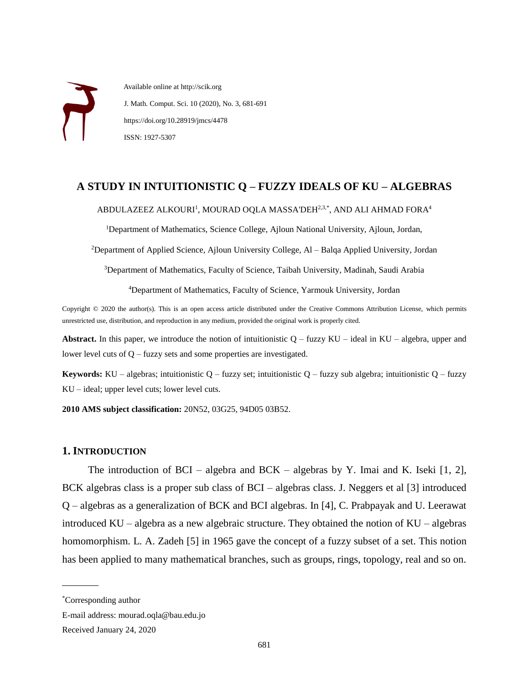Available online at http://scik.org J. Math. Comput. Sci. 10 (2020), No. 3, 681-691 https://doi.org/10.28919/jmcs/4478 ISSN: 1927-5307

# **A STUDY IN INTUITIONISTIC Q – FUZZY IDEALS OF KU – ALGEBRAS**

#### ABDULAZEEZ ALKOUR $1^1$ , MOURAD OQLA MASSA'DEH $^{2,3,*},$  AND ALI AHMAD FORA $^4$

<sup>1</sup>Department of Mathematics, Science College, Ajloun National University, Ajloun, Jordan,

<sup>2</sup>Department of Applied Science, Ajloun University College, Al – Balqa Applied University, Jordan

<sup>3</sup>Department of Mathematics, Faculty of Science, Taibah University, Madinah, Saudi Arabia

<sup>4</sup>Department of Mathematics, Faculty of Science, Yarmouk University, Jordan

Copyright © 2020 the author(s). This is an open access article distributed under the Creative Commons Attribution License, which permits unrestricted use, distribution, and reproduction in any medium, provided the original work is properly cited.

**Abstract.** In this paper, we introduce the notion of intuitionistic  $Q$  – fuzzy  $KU$  – ideal in  $KU$  – algebra, upper and lower level cuts of Q – fuzzy sets and some properties are investigated.

**Keywords:** KU – algebras; intuitionistic Q – fuzzy set; intuitionistic Q – fuzzy sub algebra; intuitionistic Q – fuzzy KU – ideal; upper level cuts; lower level cuts.

**2010 AMS subject classification:** 20N52, 03G25, 94D05 03B52.

### **1. INTRODUCTION**

The introduction of BCI – algebra and BCK – algebras by Y. Imai and K. Iseki  $[1, 2]$ , BCK algebras class is a proper sub class of BCI – algebras class. J. Neggers et al [3] introduced Q – algebras as a generalization of BCK and BCI algebras. In [4], C. Prabpayak and U. Leerawat introduced KU – algebra as a new algebraic structure. They obtained the notion of KU – algebras homomorphism. L. A. Zadeh [5] in 1965 gave the concept of a fuzzy subset of a set. This notion has been applied to many mathematical branches, such as groups, rings, topology, real and so on.

 $\overline{\phantom{a}}$ 

<sup>\*</sup>Corresponding author

E-mail address: mourad.oqla@bau.edu.jo

Received January 24, 2020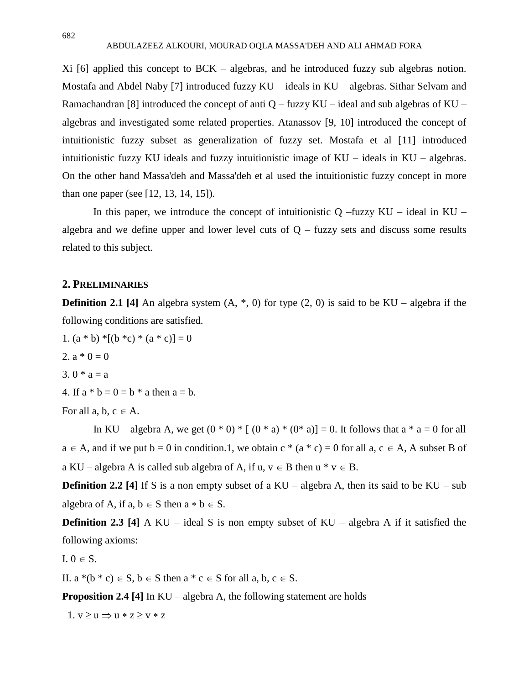Xi [6] applied this concept to BCK – algebras, and he introduced fuzzy sub algebras notion. Mostafa and Abdel Naby [7] introduced fuzzy KU – ideals in KU – algebras. Sithar Selvam and Ramachandran [8] introduced the concept of anti  $Q$  – fuzzy KU – ideal and sub algebras of KU – algebras and investigated some related properties. Atanassov [9, 10] introduced the concept of intuitionistic fuzzy subset as generalization of fuzzy set. Mostafa et al [11] introduced intuitionistic fuzzy KU ideals and fuzzy intuitionistic image of KU – ideals in KU – algebras. On the other hand Massa'deh and Massa'deh et al used the intuitionistic fuzzy concept in more than one paper (see [12, 13, 14, 15]).

In this paper, we introduce the concept of intuitionistic  $Q$  –fuzzy KU – ideal in KU – algebra and we define upper and lower level cuts of  $Q$  – fuzzy sets and discuss some results related to this subject.

### **2. PRELIMINARIES**

**Definition 2.1 [4]** An algebra system  $(A, *, 0)$  for type  $(2, 0)$  is said to be KU – algebra if the following conditions are satisfied.

1.  $(a * b) * [(b * c) * (a * c)] = 0$ 2.  $a * 0 = 0$ 3.  $0 * a = a$ 4. If  $a * b = 0 = b * a$  then  $a = b$ . For all a, b,  $c \in A$ .

In KU – algebra A, we get  $(0 * 0) * [ (0 * a) * (0 * a) ] = 0$ . It follows that  $a * a = 0$  for all  $a \in A$ , and if we put  $b = 0$  in condition.1, we obtain  $c * (a * c) = 0$  for all  $a, c \in A$ , A subset B of a KU – algebra A is called sub algebra of A, if  $u, v \in B$  then  $u * v \in B$ .

**Definition 2.2** [4] If S is a non empty subset of a  $KU - algebra A$ , then its said to be  $KU - sub$ algebra of A, if a,  $b \in S$  then  $a * b \in S$ .

**Definition 2.3 [4]** A KU – ideal S is non empty subset of KU – algebra A if it satisfied the following axioms:

I.  $0 \in S$ .

II.  $a^*(b^* c) \in S$ ,  $b \in S$  then  $a^* c \in S$  for all  $a, b, c \in S$ .

**Proposition 2.4 [4]** In KU – algebra A, the following statement are holds

 $1. v \ge u \Rightarrow u * z \ge v * z$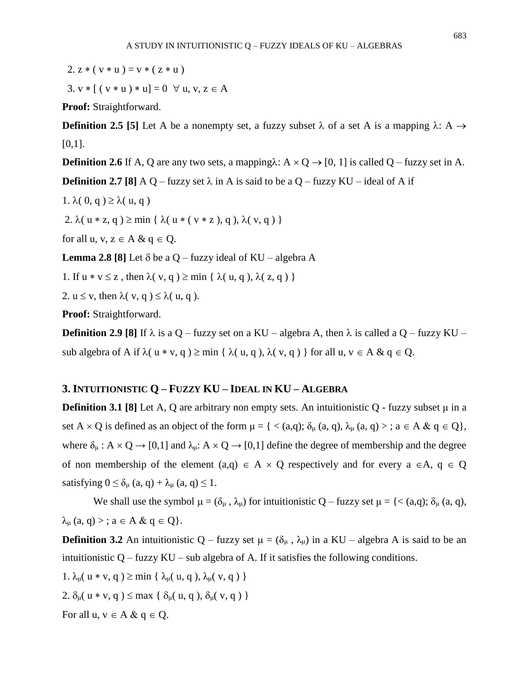3.  $v * [(v * u) * u] = 0 \forall u, v, z \in A$ 

**Proof:** Straightforward.

**Definition 2.5** [5] Let A be a nonempty set, a fuzzy subset  $\lambda$  of a set A is a mapping  $\lambda$ : A  $\rightarrow$  $[0,1]$ .

**Definition 2.6** If A, Q are any two sets, a mapping $\lambda$ : A  $\times$  Q  $\rightarrow$  [0, 1] is called Q – fuzzy set in A.

**Definition 2.7 [8]** A Q – fuzzy set  $\lambda$  in A is said to be a Q – fuzzy KU – ideal of A if

1.  $\lambda( 0, q ) \geq \lambda( u, q )$ 

2.  $\lambda(u * z, q) \ge \min \{ \lambda(u * ( v * z), q), \lambda(v, q) \}$ 

for all  $u, v, z \in A \& q \in Q$ .

**Lemma 2.8 [8]** Let  $\delta$  be a Q – fuzzy ideal of KU – algebra A

1. If  $u * v \le z$ , then  $\lambda(v, q) \ge \min \{ \lambda(u, q), \lambda(z, q) \}$ 

2.  $u \le v$ , then  $\lambda(v, q) \le \lambda(u, q)$ .

**Proof:** Straightforward.

**Definition 2.9** [8] If  $\lambda$  is a Q – fuzzy set on a KU – algebra A, then  $\lambda$  is called a Q – fuzzy KU – sub algebra of A if  $\lambda$  ( u  $*$  v, q )  $\geq$  min {  $\lambda$  ( u, q ),  $\lambda$  ( v, q ) } for all u, v  $\in$  A & q  $\in$  Q.

## **3. INTUITIONISTIC Q – FUZZY KU – IDEAL IN KU – ALGEBRA**

**Definition 3.1 [8]** Let A, Q are arbitrary non empty sets. An intuitionistic Q - fuzzy subset μ in a set A  $\times$  Q is defined as an object of the form  $\mu = \{ \langle (a,q); \delta_{\mu} (a,q), \lambda_{\mu} (a,q) \rangle : a \in A \& q \in Q \},\$ where  $\delta_{\mu}$ : A  $\times$  Q  $\rightarrow$  [0,1] and  $\lambda_{\mu}$ : A  $\times$  Q  $\rightarrow$  [0,1] define the degree of membership and the degree of non membership of the element  $(a,q) \in A \times Q$  respectively and for every  $a \in A$ ,  $q \in Q$ satisfying  $0 \leq \delta_{\mu}$  (a, q) +  $\lambda_{\mu}$  (a, q)  $\leq 1$ .

We shall use the symbol  $\mu = (\delta_{\mu}, \lambda_{\mu})$  for intuitionistic Q – fuzzy set  $\mu = \{ \langle (a,q); \delta_{\mu} (a,q), \rangle \}$  $\lambda_{\mu}$   $(a, q)$  > ;  $a \in A \& q \in Q$  }.

**Definition 3.2** An intuitionistic Q – fuzzy set  $\mu = (\delta_{\mu}, \lambda_{\mu})$  in a KU – algebra A is said to be an intuitionistic  $Q$  – fuzzy KU – sub algebra of A. If it satisfies the following conditions.

1.  $\lambda_{\mu}$ ( u \* v, q )  $\geq$  min {  $\lambda_{\mu}$ ( u, q ),  $\lambda_{\mu}$ ( v, q ) } 2.  $\delta_{\mu}$ ( u  $*$  v, q )  $\leq$  max {  $\delta_{\mu}$ ( u, q ),  $\delta_{\mu}$ ( v, q ) }

For all  $u, v \in A \& g \in Q$ .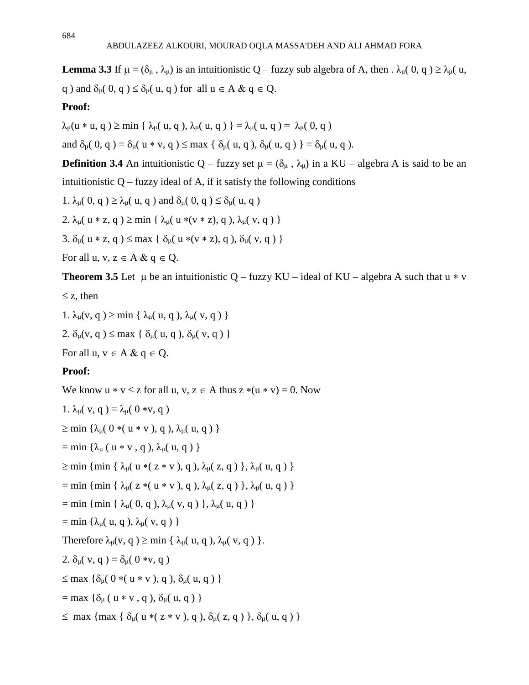**Lemma** 3.3 If  $\mu = (\delta_{\mu}, \lambda_{\mu})$  is an intuitionistic Q – fuzzy sub algebra of A, then  $\lambda_{\mu}$  (0, q)  $\geq \lambda_{\mu}$  (u, q ) and  $\delta_{\mu}$ ( 0, q )  $\leq \delta_{\mu}$ ( u, q ) for all  $\mu \in A \& \ q \in Q$ .

# **Proof:**

 $\lambda_{\mu}$ (u \* u, q )  $\geq$  min {  $\lambda_{\mu}$ ( u, q ),  $\lambda_{\mu}$ ( u, q )  $\} = \lambda_{\mu}$ ( u, q ) =  $\lambda_{\mu}$ ( 0, q )

and  $\delta_{\mu}([0, q]) = \delta_{\mu}([u * v, q]) \leq \max \{ \delta_{\mu}([u, q]) , \delta_{\mu}([u, q]) \} = \delta_{\mu}([u, q])$ .

**Definition 3.4** An intuitionistic Q – fuzzy set  $\mu = (\delta_{\mu}, \lambda_{\mu})$  in a KU – algebra A is said to be an intuitionistic  $Q$  – fuzzy ideal of A, if it satisfy the following conditions

1. 
$$
\lambda_{\mu}(0, q) \ge \lambda_{\mu}(u, q)
$$
 and  $\delta_{\mu}(0, q) \le \delta_{\mu}(u, q)$ 

2.  $\lambda_{\mu}$ ( u \* z, q )  $\geq$  min {  $\lambda_{\mu}$ ( u \*(v \* z), q ),  $\lambda_{\mu}$ ( v, q ) }

3. 
$$
\delta_{\mu}(u * z, q) \le \max \{ \delta_{\mu}(u * (v * z), q), \delta_{\mu}(v, q) \}
$$

For all  $u, v, z \in A \& q \in Q$ .

**Theorem 3.5** Let  $\mu$  be an intuitionistic Q – fuzzy KU – ideal of KU – algebra A such that u  $\ast$  v

## $\leq$  z, then

1.  $\lambda_{\mu}(v, q) \ge \min \{ \lambda_{\mu}(u, q), \lambda_{\mu}(v, q) \}$ 

2.  $\delta_{\mu}(v, q) \le \max \{ \delta_{\mu}(u, q), \delta_{\mu}(v, q) \}$ 

For all  $u, v \in A \& g \in Q$ .

# **Proof:**

```
We know u * v \le z for all u, v, z \in A thus z * (u * v) = 0. Now
1. \lambda_{\mu}( v, q) = \lambda_{\mu}( 0 *v, q)
\geq min {\lambda<sub>u</sub>( 0 *( u * v ), q ), \lambda<sub>u</sub>( u, q ) }
= min {\lambda_{\mu} ( u * v, q ), \lambda_{\mu}( u, q ) }
\geq min { min { \lambda_{\mu}( u * ( z * v ), q ), \lambda_{\mu}( z, q ) }, \lambda_{\mu}( u, q ) }
= min { min { \lambda_{\mu}( z *( u * v ), q ), \lambda_{\mu}( z, q ) }, \lambda_{\mu}( u, q ) }
= min { min { \lambda_{\mu}( 0, q ), \lambda_{\mu}( v, q ) }, \lambda_{\mu}( u, q ) }
= min {\lambda_{\mu}( u, q ), \lambda_{\mu}( v, q ) }
Therefore \lambda_{\mu}(v, q) \ge \min \{ \lambda_{\mu}(u, q), \lambda_{\mu}(v, q) \}.2. \delta_{\mu}(\mathbf{v}, \mathbf{q}) = \delta_{\mu}(\mathbf{0} * \mathbf{v}, \mathbf{q})\leq max {\delta_{\mu}( 0 *( u * v ), q ), \delta_{\mu}( u, q ) }
= max {\delta_{\mu} ( u * v, q ), \delta_{\mu}( u, q ) }
\leq max { max { \delta_{\mu}( u * ( z * v ), q ), \delta_{\mu}( z, q ) }, \delta_{\mu}( u, q ) }
```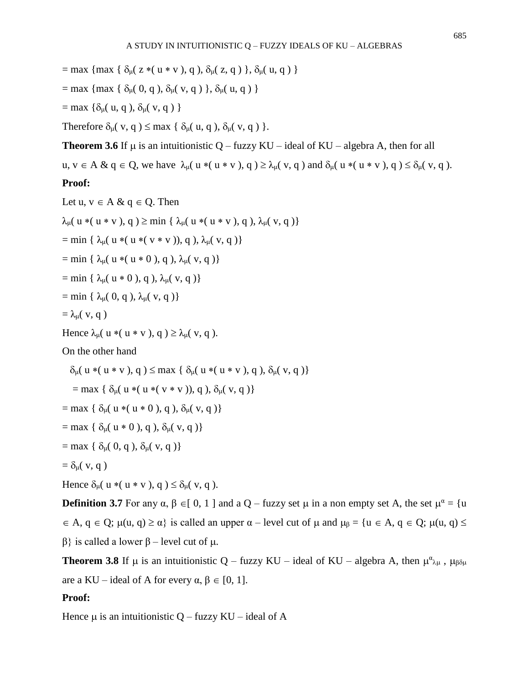= max { max {  $\delta_{\mu}$ ( z \*( u \* v ), q ),  $\delta_{\mu}$ ( z, q ) },  $\delta_{\mu}$ ( u, q ) }

$$
= max \{ max \{ \delta_{\mu}(0, q), \delta_{\mu}(v, q) \}, \delta_{\mu}(u, q) \}
$$

 $=$  max { $\delta_{\mu}$ ( u, q ),  $\delta_{\mu}$ ( v, q ) }

Therefore  $\delta_{\mu}(v, q) \le \max \{ \delta_{\mu}(u, q), \delta_{\mu}(v, q) \}.$ 

**Theorem 3.6** If  $\mu$  is an intuitionistic Q – fuzzy KU – ideal of KU – algebra A, then for all

 $u, v \in A \& q \in Q$ , we have  $\lambda_{\mu}( u * ( u * v ), q ) \geq \lambda_{\mu}( v, q )$  and  $\delta_{\mu}( u * ( u * v ), q ) \leq \delta_{\mu}( v, q )$ .

# **Proof:**

Let  $u, v \in A \& q \in Q$ . Then  $\lambda_{\mu}$ ( u \*( u \* v ), q )  $\geq$  min {  $\lambda_{\mu}$ ( u \*( u \* v ), q ),  $\lambda_{\mu}$ ( v, q )} = min {  $\lambda_{\mu}$ ( u \*( v \* v )), q ),  $\lambda_{\mu}$ ( v, q )} = min {  $\lambda_{\mu}$ ( u \*( u \* 0 ), q ),  $\lambda_{\mu}$ ( v, q )}  $=$  min {  $\lambda_{\mu}$ ( u  $\ast$  0 ), q ),  $\lambda_{\mu}$ ( v, q )}  $=$  min {  $\lambda_{\mu}$ ( 0, q ),  $\lambda_{\mu}$ ( v, q )}  $=\lambda_{\mu}(\mathbf{v},\mathbf{q})$ Hence  $\lambda_{\mu}$ ( u  $*($  u  $*$  v ), q  $) \geq \lambda_{\mu}$ ( v, q ). On the other hand  $\delta_{\mu}$ ( u \*( u \* v ), q )  $\leq$  max {  $\delta_{\mu}$ ( u \*( u \* v ), q ),  $\delta_{\mu}$ ( v, q )} = max {  $\delta_{\mu}$ ( u \*( u \*( v \* v )), q ),  $\delta_{\mu}$ ( v, q )}  $=$  max {  $\delta_{\mu}$ ( u  $*($  u  $*$  0 ), q ),  $\delta_{\mu}$ ( v, q )} = max {  $\delta_{\mu}$ ( **u**  $*$  0 ), **q** ),  $\delta_{\mu}$ ( **v**, **q** )}  $=$  max {  $\delta_{\mu}$ ( 0, q ),  $\delta_{\mu}$ ( v, q )}

$$
= \delta_{\mu}(v, q)
$$

Hence  $\delta_{\mu}$ ( u  $*($  u  $*$  v ), q  $) \leq \delta_{\mu}$ ( v, q ).

**Definition 3.7** For any  $\alpha$ ,  $\beta \in [0, 1]$  and a Q – fuzzy set  $\mu$  in a non empty set A, the set  $\mu^{\alpha} = {\mu}$  $A, q \in Q$ ;  $\mu(u, q) \ge \alpha$ } is called an upper  $\alpha$  – level cut of  $\mu$  and  $\mu_{\beta} = \{u \in A, q \in Q; \mu(u, q) \le \alpha\}$  $β$ } is called a lower  $β$  – level cut of  $μ$ .

**Theorem 3.8** If  $\mu$  is an intuitionistic Q – fuzzy KU – ideal of KU – algebra A, then  $\mu^{\alpha}{}_{\lambda\mu}$ ,  $\mu_{\beta\delta\mu}$ are a KU – ideal of A for every  $\alpha, \beta \in [0, 1]$ .

# **Proof:**

Hence  $\mu$  is an intuitionistic Q – fuzzy KU – ideal of A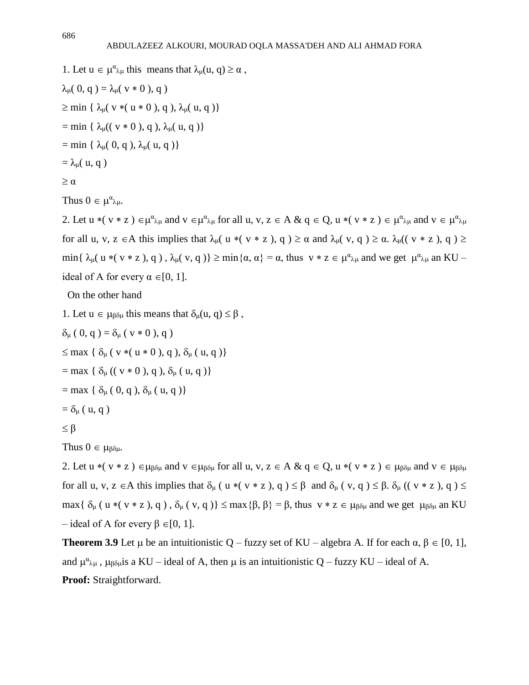1. Let  $u \in \mu^{\alpha} \lambda_{\mu}$  this means that  $\lambda_{\mu}(u, q) \ge \alpha$ ,  $\lambda_{\mu}([0, q]) = \lambda_{\mu}([v * 0), q])$  $\geq$  min {  $\lambda$ <sub>u</sub>( v \*( u \* 0 ), q ),  $\lambda$ <sub>u</sub>( u, q )} = min {  $\lambda_{\mu}((v * 0), q), \lambda_{\mu}(u, q)$ }  $=$  min {  $\lambda_{\mu}$ ( 0, q ),  $\lambda_{\mu}$ ( u, q )}  $=\lambda_{\mu}$ ( u, q)

```
\geq \alpha
```

```
Thus 0 \in \mu^{\alpha}{}_{\lambda\mu}.
```
2. Let  $u * (v * z) \in \mu^{\alpha} \lambda \mu$  and  $v \in \mu^{\alpha} \lambda \mu$  for all  $u, v, z \in A \& q \in Q$ ,  $u * (v * z) \in \mu^{\alpha} \lambda \mu$  and  $v \in \mu^{\alpha} \lambda \mu$ for all u, v, z  $\in$  A this implies that  $\lambda_{\mu}$  (  $u * ( v * z )$ , q  $) \ge \alpha$  and  $\lambda_{\mu}$  ( $v$ , q  $) \ge \alpha$ .  $\lambda_{\mu}$  ( $v * z$ ), q  $) \ge$ min{  $\lambda_{\mu}$ ( u \*( v \* z), q),  $\lambda_{\mu}$ ( v, q)}  $\geq$  min{ $\alpha$ ,  $\alpha$ } =  $\alpha$ , thus v \* z  $\in \mu^{\alpha}{}_{\lambda\mu}$  and we get  $\mu^{\alpha}{}_{\lambda\mu}$  an KU – ideal of A for every  $\alpha \in [0, 1]$ .

On the other hand

1. Let  $u \in \mu_{\beta} \delta_{\mu}$  this means that  $\delta_{\mu}(u, q) \leq \beta$ ,

 $\delta_{\mu}$  ( 0, q ) =  $\delta_{\mu}$  ( v  $*$  0 ), q )

 $\leq$  max {  $\delta_{\mu}$  ( v \* ( u \* 0 ), q ),  $\delta_{\mu}$  ( u, q )}

 $=$  max {  $\delta_{\mu}$  (( v  $*$  0 ), q ),  $\delta_{\mu}$  ( u, q )}

 $=$  max {  $\delta_{\mu}$  ( 0, q ),  $\delta_{\mu}$  ( u, q )}

 $= \delta_{\mu}$  ( u, q )

 $\leq$  β

Thus  $0 \in \mu_{\beta \delta \mu}$ .

2. Let  $u * ( v * z ) \in \mu_{\beta \delta \mu}$  and  $v \in \mu_{\beta \delta \mu}$  for all  $u, v, z \in A \& q \in Q$ ,  $u * ( v * z ) \in \mu_{\beta \delta \mu}$  and  $v \in \mu_{\beta \delta \mu}$ for all u, v, z  $\in$  A this implies that  $\delta_{\mu}$  ( u  $*( v * z )$ , q  $)\leq \beta$  and  $\delta_{\mu}$  (v, q  $)\leq \beta$ .  $\delta_{\mu}$  ((v  $* z$ ), q  $)\leq$ max{  $\delta_{\mu}$  (  $\mu * (\nu * z)$ , q ),  $\delta_{\mu}$  ( v, q )}  $\leq$  max{ $\beta$ ,  $\beta$ } =  $\beta$ , thus  $\nu * z \in \mu_{\beta\delta\mu}$  and we get  $\mu_{\beta\delta\mu}$  an KU – ideal of A for every  $\beta \in [0, 1]$ .

**Theorem 3.9** Let  $\mu$  be an intuitionistic Q – fuzzy set of KU – algebra A. If for each  $\alpha$ ,  $\beta \in [0, 1]$ , and  $\mu^{\alpha}{}_{\lambda\mu}$ ,  $\mu_{\beta\delta\mu}$  is a KU – ideal of A, then  $\mu$  is an intuitionistic Q – fuzzy KU – ideal of A. **Proof:** Straightforward.

686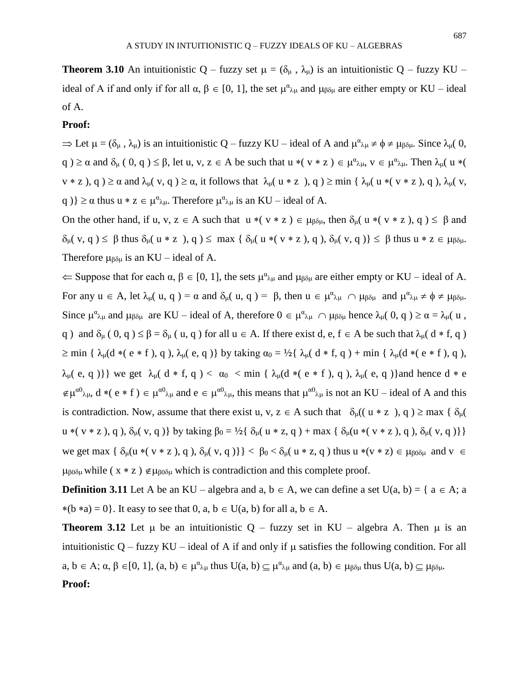**Theorem 3.10** An intuitionistic Q – fuzzy set  $\mu = (\delta_{\mu}, \lambda_{\mu})$  is an intuitionistic Q – fuzzy KU – ideal of A if and only if for all  $\alpha, \beta \in [0, 1]$ , the set  $\mu^{\alpha}{}_{\lambda\mu}$  and  $\mu_{\beta\delta\mu}$  are either empty or KU – ideal of A.

### **Proof:**

 $\Rightarrow$  Let  $\mu = (\delta_{\mu}, \lambda_{\mu})$  is an intuitionistic Q – fuzzy KU – ideal of A and  $\mu^{\alpha}{}_{\lambda\mu} \neq \phi \neq \mu_{\beta\delta\mu}$ . Since  $\lambda_{\mu}$  (0, q  $0 \ge \alpha$  and  $\delta_{\mu}$  ( 0, q  $0 \le \beta$ , let u, v,  $z \in A$  be such that  $u * (v * z) \in \mu^{\alpha} \lambda_{\mu}$ ,  $v \in \mu^{\alpha} \lambda_{\mu}$ . Then  $\lambda_{\mu}$  ( $u * (x \le \beta)$  $v * z$ ),  $q$ )  $\ge \alpha$  and  $\lambda_{\mu}$ ( v, q)  $\ge \alpha$ , it follows that  $\lambda_{\mu}$ (  $u * z$ ), q)  $\ge \min \{\lambda_{\mu}$ (  $v * z$ ), q),  $\lambda_{\mu}$ ( v, q )  $\geq \alpha$  thus  $u * z \in \mu^{\alpha} \lambda \mu$ . Therefore  $\mu^{\alpha} \lambda \mu$  is an KU – ideal of A.

On the other hand, if u, v,  $z \in A$  such that  $u * ( v * z ) \in \mu_{\beta \delta \mu}$ , then  $\delta_{\mu}( u * ( v * z ), q ) \leq \beta$  and  $\delta_{\mu}(v, q) \leq \beta$  thus  $\delta_{\mu}(u * z), q \leq \max \{\delta_{\mu}(u * (v * z), q), \delta_{\mu}(v, q)\} \leq \beta$  thus  $u * z \in \mu_{\beta \delta \mu}$ . Therefore  $\mu_{\beta\delta\mu}$  is an KU – ideal of A.

 $\Leftarrow$  Suppose that for each  $\alpha, \beta \in [0, 1]$ , the sets  $\mu^{\alpha}{}_{\lambda\mu}$  and  $\mu_{\beta\delta\mu}$  are either empty or KU – ideal of A. For any  $u \in A$ , let  $\lambda_{\mu}(u, q) = \alpha$  and  $\delta_{\mu}(u, q) = \beta$ , then  $u \in \mu^{\alpha}{}_{\lambda\mu} \cap \mu_{\beta\delta\mu}$  and  $\mu^{\alpha}{}_{\lambda\mu} \neq \phi \neq \mu_{\beta\delta\mu}$ . Since  $\mu^{\alpha}{}_{\lambda\mu}$  and  $\mu_{\beta\delta\mu}$  are KU – ideal of A, therefore  $0 \in \mu^{\alpha}{}_{\lambda\mu} \cap \mu_{\beta\delta\mu}$  hence  $\lambda_{\mu}$ (0, q)  $\geq \alpha = \lambda_{\mu}$ (u, q ) and  $\delta_{\mu}$  ( 0, q )  $\leq \beta = \delta_{\mu}$  ( u, q ) for all  $u \in A$ . If there exist d, e,  $f \in A$  be such that  $\lambda_{\mu}$  (  $d * f$ , q )  $\geq$  min {  $\lambda_{\mu}$ (d \*( e \* f), q),  $\lambda_{\mu}$ ( e, q)} by taking  $\alpha_0 = \frac{1}{2}$ {  $\lambda_{\mu}$ ( d \* f, q) + min {  $\lambda_{\mu}$ (d \*( e \* f), q),  $\lambda_{\mu}$ (e, q)}} we get  $\lambda_{\mu}$ (d \* f, q) <  $\alpha_0$  < min {  $\lambda_{\mu}$ (d \* (e \* f), q),  $\lambda_{\mu}$ (e, q)}and hence d \* e  $\notin \mu^{\alpha 0}$ <sub> $\lambda$  $\mu$ </sub>,  $d * (e * f) \in \mu^{\alpha 0}$ <sub> $\lambda$  $\mu$ </sub> and  $e \in \mu^{\alpha 0}$ <sub> $\lambda$  $\mu$ </sub>, this means that  $\mu^{\alpha 0}$ <sub> $\lambda$  $\mu$ </sub> is not an KU – ideal of A and this is contradiction. Now, assume that there exist u, v,  $z \in A$  such that  $\delta_{\mu}((u * z), q) \geq \max \{\delta_{\mu}(\alpha, z) \}$ u \*( v \* z ), q ),  $\delta_{\mu}$ ( v, q )} by taking  $\beta_0 = \frac{1}{2} {\delta_{\mu}}(u * z, q) + \max {\delta_{\mu}}(u * (v * z), q)$ ,  $\delta_{\mu}$ ( v, q )}} we get max  $\{\delta_u(u*( v * z), q), \delta_u(v, q)\}\}< \beta_0 < \delta_u(u * z, q)$  thus  $u*( v * z) \in \mu_{\beta_0\delta_\mu}$  and  $v \in$  $\mu_{\beta 0 \delta \mu}$  while ( x \* z )  $\notin \mu_{\beta 0 \delta \mu}$  which is contradiction and this complete proof.

**Definition 3.11** Let A be an KU – algebra and a,  $b \in A$ , we can define a set U(a, b) = { a  $\in$  A; a  $*(b * a) = 0$ . It easy to see that 0, a,  $b \in U(a, b)$  for all a,  $b \in A$ .

**Theorem 3.12** Let  $\mu$  be an intuitionistic Q – fuzzy set in KU – algebra A. Then  $\mu$  is an intuitionistic Q – fuzzy KU – ideal of A if and only if  $\mu$  satisfies the following condition. For all  $a, b \in A$ ;  $\alpha, \beta \in [0, 1]$ ,  $(a, b) \in \mu^{\alpha}{}_{\lambda\mu}$  thus  $U(a, b) \subseteq \mu^{\alpha}{}_{\lambda\mu}$  and  $(a, b) \in \mu_{\beta\delta\mu}$  thus  $U(a, b) \subseteq \mu_{\beta\delta\mu}$ .

#### **Proof:**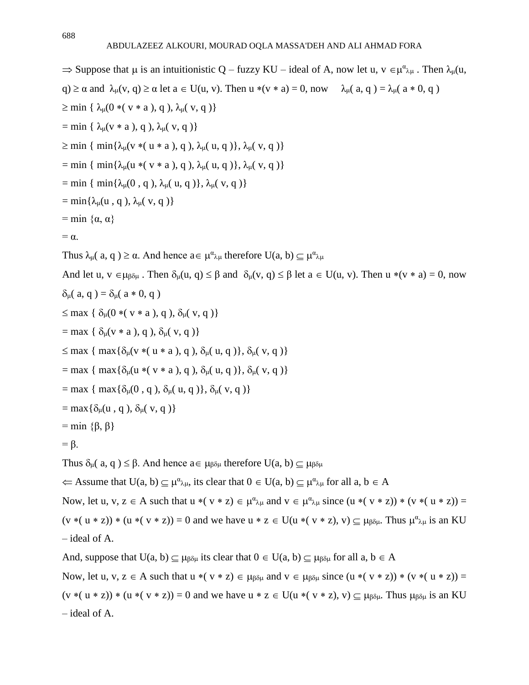$\Rightarrow$  Suppose that  $\mu$  is an intuitionistic Q – fuzzy KU – ideal of A, now let u,  $v \in \mu^{\alpha}{}_{\lambda\mu}$ . Then  $\lambda_{\mu}$ (u, q)  $\ge \alpha$  and  $\lambda_{\mu}(v, q) \ge \alpha$  let  $a \in U(u, v)$ . Then  $u * (v * a) = 0$ , now  $\lambda_{\mu}(a, q) = \lambda_{\mu}(a * 0, q)$  $\geq$  min {  $\lambda_{\mu}$ (0 \*( v \* a ), q ),  $\lambda_{\mu}$ ( v, q )}  $=$  min {  $\lambda_{\mu}$ (v  $*$  a ), q ),  $\lambda_{\mu}$ (v, q )}  $\geq$  min { min{ $\lambda_{\mu}$ (v \*( u \* a ), q ),  $\lambda_{\mu}$ ( u, q )},  $\lambda_{\mu}$ ( v, q )} = min { min{ $\lambda_{\mu}$ (u \*( v \* a ), q ),  $\lambda_{\mu}$ ( u, q )},  $\lambda_{\mu}$ ( v, q )} = min { min{ $\lambda_{\mu}$ (0, q),  $\lambda_{\mu}$ (u, q)},  $\lambda_{\mu}$ (v, q)}  $=$  min{ $\lambda_{\mu}$ (u, q),  $\lambda_{\mu}$ (v, q)} = min  $\{\alpha, \alpha\}$  $= \alpha$ . Thus  $\lambda_{\mu}$ (a, q)  $\geq \alpha$ . And hence  $a \in \mu^{\alpha}{}_{\lambda\mu}$  therefore  $U(a, b) \subseteq \mu^{\alpha}{}_{\lambda\mu}$ And let u,  $v \in \mu_{\beta \delta \mu}$ . Then  $\delta_{\mu}(u, q) \leq \beta$  and  $\delta_{\mu}(v, q) \leq \beta$  let  $a \in U(u, v)$ . Then  $u * (v * a) = 0$ , now  $\delta_{\mu}$ ( a, q) =  $\delta_{\mu}$ ( a \* 0, q)  $\leq$  max {  $\delta_{\mu}$ (0  $*( v * a), q$ ),  $\delta_{\mu}$ (v, q)}  $=$  max {  $\delta_{\mu}$ (v \* a ), q ),  $\delta_{\mu}$ (v, q )}  $\leq$  max { max{ $\delta_{\mu}$ (v \*( u \* a ), q ),  $\delta_{\mu}$ ( u, q )},  $\delta_{\mu}$ ( v, q )} = max { max{ $\delta_{\mu}$ (u \*( v \* a ), q ),  $\delta_{\mu}$ ( u, q )},  $\delta_{\mu}$ ( v, q )} = max { max{ $\delta_{\mu}$ (0, q),  $\delta_{\mu}$ ( u, q)},  $\delta_{\mu}$ ( v, q)}  $=$  max $\{\delta_{\mu}(u, q), \delta_{\mu}(v, q)\}$  $=$  min  $\{\beta, \beta\}$  $= \beta$ . Thus  $\delta_{\mathfrak{u}}(a, q) \leq \beta$ . And hence  $a \in \mu_{\beta\delta\mathfrak{u}}$  therefore  $U(a, b) \subset \mu_{\beta\delta\mathfrak{u}}$  $\Leftarrow$  Assume that  $U(a, b) \subseteq \mu^{\alpha}{}_{\lambda\mu}$ , its clear that  $0 \in U(a, b) \subseteq \mu^{\alpha}{}_{\lambda\mu}$  for all  $a, b \in A$ Now, let u, v, z  $\in$  A such that u  $*(v * z) \in \mu^{\alpha}{}_{\lambda\mu}$  and  $v \in \mu^{\alpha}{}_{\lambda\mu}$  since  $(u * (v * z)) * (v * (u * z)) =$  $(v*(u*z))*(u*(v*z)) = 0$  and we have  $u*z \in U(u*(v*z), v) \subseteq \mu_{\beta\delta\mu}$ . Thus  $\mu^{\alpha}{}_{\lambda\mu}$  is an KU – ideal of A. And, suppose that  $U(a, b) \subseteq \mu_{\beta\delta\mu}$  its clear that  $0 \in U(a, b) \subseteq \mu_{\beta\delta\mu}$  for all  $a, b \in A$ Now, let u, v,  $z \in A$  such that  $u * ( v * z) \in \mu_{\beta \delta \mu}$  and  $v \in \mu_{\beta \delta \mu}$  since  $(u * ( v * z) * ( v * ( u * z)) =$  $(v * (u * z)) * (u * (v * z)) = 0$  and we have  $u * z \in U(u * (v * z), v) \subset \mu_{\beta} u$ . Thus  $\mu_{\beta} u$  is an KU – ideal of A.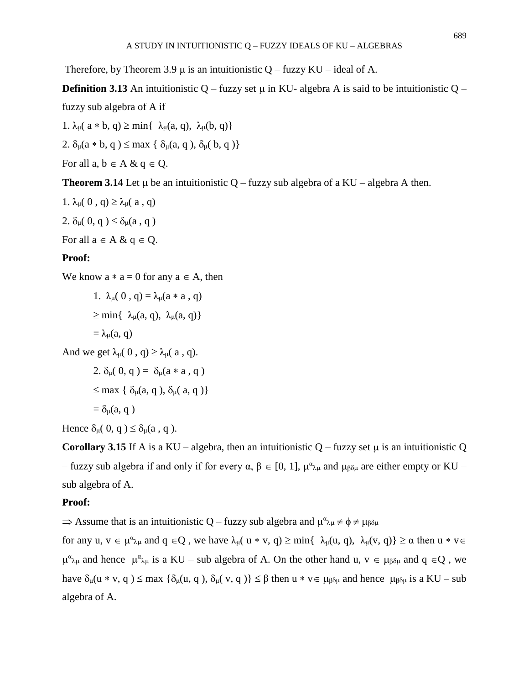Therefore, by Theorem 3.9  $\mu$  is an intuitionistic Q – fuzzy KU – ideal of A.

**Definition 3.13** An intuitionistic Q – fuzzy set  $\mu$  in KU- algebra A is said to be intuitionistic Q – fuzzy sub algebra of A if

1.  $\lambda_{\mu}$ ( a \* b, q)  $\geq$  min{  $\lambda_{\mu}$ (a, q),  $\lambda_{\mu}$ (b, q)}

2.  $\delta_{\mu}(a * b, q) \le \max \{ \delta_{\mu}(a, q), \delta_{\mu}(b, q) \}$ 

For all a,  $b \in A \& q \in Q$ .

**Theorem 3.14** Let  $\mu$  be an intuitionistic Q – fuzzy sub algebra of a KU – algebra A then.

1.  $\lambda_{\mu}$ ( 0, q)  $\geq \lambda_{\mu}$ ( a, q) 2.  $\delta_{\mu}$ ( 0, q )  $\leq \delta_{\mu}$ (a, q) For all  $a \in A \& q \in Q$ .

### **Proof:**

We know  $a * a = 0$  for any  $a \in A$ , then

1.  $\lambda_{\mu}$ (0, q) =  $\lambda_{\mu}$ (a \* a, q)  $\geq$  min{  $\lambda_{\mu}(a, q)$ ,  $\lambda_{\mu}(a, q)$ }  $=\lambda_{\mu}(a, q)$ 

And we get  $\lambda_{\mu}$ ( 0, q)  $\geq \lambda_{\mu}$ ( a, q).

2.  $\delta_{\mu}$ ( 0, q ) =  $\delta_{\mu}$ (a \* a , q )  $\leq$  max {  $\delta_{\mu}$ (a, q ),  $\delta_{\mu}$ (a, q )}  $= \delta_{\mu}(a, q)$ 

Hence  $\delta_{\mu}$ ( 0, q )  $\leq \delta_{\mu}$ (a, q ).

**Corollary 3.15** If A is a KU – algebra, then an intuitionistic Q – fuzzy set  $\mu$  is an intuitionistic Q – fuzzy sub algebra if and only if for every  $\alpha, \beta \in [0, 1]$ ,  $\mu^{\alpha}{}_{\lambda\mu}$  and  $\mu_{\beta\delta\mu}$  are either empty or KU – sub algebra of A.

## **Proof:**

 $\Rightarrow$  Assume that is an intuitionistic Q – fuzzy sub algebra and  $\mu^{\alpha}{}_{\lambda\mu} \neq \phi \neq \mu_{\beta\delta\mu}$ 

for any  $u, v \in \mu^{\alpha} \lambda_{\mu}$  and  $q \in Q$ , we have  $\lambda_{\mu}(u * v, q) \ge \min\{\lambda_{\mu}(u, q), \lambda_{\mu}(v, q)\} \ge \alpha$  then  $u * v \in Q$  $\mu^{\alpha}{}_{\lambda\mu}$  and hence  $\mu^{\alpha}{}_{\lambda\mu}$  is a KU – sub algebra of A. On the other hand u,  $v \in \mu_{\beta\delta\mu}$  and  $q \in Q$ , we have  $\delta_{\mu}(u * v, q) \leq \max \{\delta_{\mu}(u, q), \delta_{\mu}(v, q)\} \leq \beta$  then  $u * v \in \mu_{\beta\delta\mu}$  and hence  $\mu_{\beta\delta\mu}$  is a KU – sub algebra of A.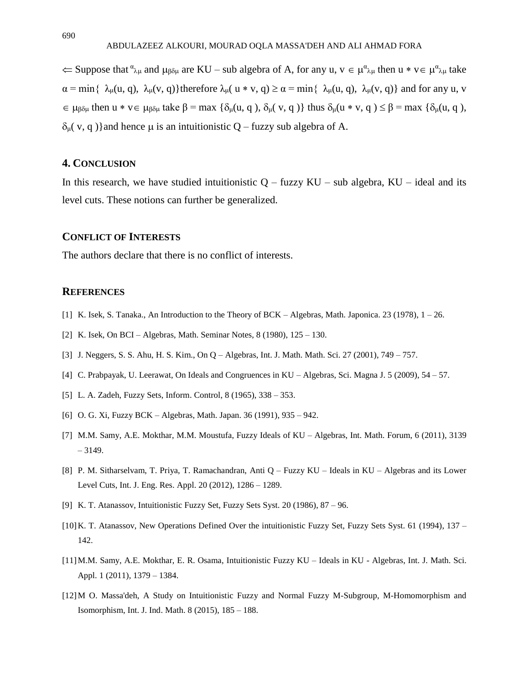$\Leftarrow$  Suppose that  $\alpha_{\lambda\mu}$  and  $\mu_{\beta\delta\mu}$  are KU – sub algebra of A, for any u,  $v \in \mu^{\alpha}{}_{\lambda\mu}$  then  $u * v \in \mu^{\alpha}{}_{\lambda\mu}$  take  $\alpha = \min\{\ \lambda_{\mu}(u, q), \ \lambda_{\mu}(v, q)\}\$ therefore  $\lambda_{\mu}(u * v, q) \ge \alpha = \min\{\ \lambda_{\mu}(u, q), \ \lambda_{\mu}(v, q)\}\$ and for any u, v  $\epsilon \in \mu_{\beta\delta\mu}$  then  $u * v \epsilon \mu_{\beta\delta\mu}$  take  $\beta = \max \{\delta_{\mu}(u, q), \delta_{\mu}(v, q)\}$  thus  $\delta_{\mu}(u * v, q) \leq \beta = \max \{\delta_{\mu}(u, q),$  $δ<sub>μ</sub>( v, q )$ } and hence μ is an intuitionistic Q – fuzzy sub algebra of A.

### **4. CONCLUSION**

In this research, we have studied intuitionistic  $Q$  – fuzzy  $KU$  – sub algebra,  $KU$  – ideal and its level cuts. These notions can further be generalized.

### **CONFLICT OF INTERESTS**

The authors declare that there is no conflict of interests.

### **REFERENCES**

- [1] K. Isek, S. Tanaka., An Introduction to the Theory of BCK Algebras, Math. Japonica. 23 (1978), 1 26.
- [2] K. Isek, On BCI Algebras, Math. Seminar Notes, 8 (1980), 125 130.
- [3] J. Neggers, S. S. Ahu, H. S. Kim., On Q Algebras, Int. J. Math. Math. Sci. 27 (2001), 749 757.
- [4] C. Prabpayak, U. Leerawat, On Ideals and Congruences in KU Algebras, Sci. Magna J. 5 (2009), 54 57.
- [5] L. A. Zadeh, Fuzzy Sets, Inform. Control, 8 (1965), 338 353.
- [6] O. G. Xi, Fuzzy BCK Algebras, Math. Japan. 36 (1991), 935 942.
- [7] M.M. Samy, A.E. Mokthar, M.M. Moustufa, Fuzzy Ideals of KU Algebras, Int. Math. Forum, 6 (2011), 3139 – 3149.
- [8] P. M. Sitharselvam, T. Priya, T. Ramachandran, Anti Q Fuzzy KU Ideals in KU Algebras and its Lower Level Cuts, Int. J. Eng. Res. Appl. 20 (2012), 1286 – 1289.
- [9] K. T. Atanassov, Intuitionistic Fuzzy Set, Fuzzy Sets Syst. 20 (1986), 87 96.
- [10]K. T. Atanassov, New Operations Defined Over the intuitionistic Fuzzy Set, Fuzzy Sets Syst. 61 (1994), 137 142.
- [11]M.M. Samy, A.E. Mokthar, E. R. Osama, Intuitionistic Fuzzy KU Ideals in KU Algebras, Int. J. Math. Sci. Appl. 1 (2011), 1379 – 1384.
- [12]M O. Massa'deh, A Study on Intuitionistic Fuzzy and Normal Fuzzy M-Subgroup, M-Homomorphism and Isomorphism, Int. J. Ind. Math. 8 (2015), 185 – 188.